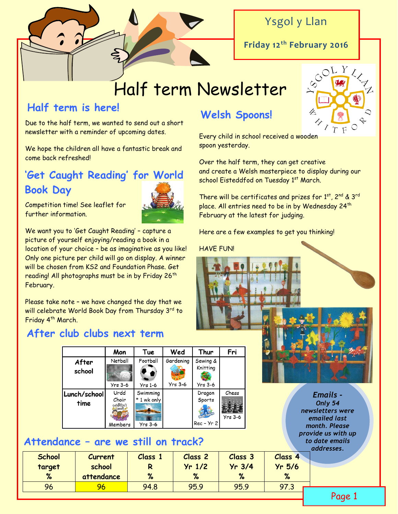

# Ysgol y Llan

**Friday 12th February 2016**

# Half term Newsletter

# **Half term is here!**

Due to the half term, we wanted to send out a short newsletter with a reminder of upcoming dates.

We hope the children all have a fantastic break and come back refreshed!

# **'Get Caught Reading' for World Book Day**



Competition time! See leaflet for further information.

We want you to 'Get Caught Reading' – capture a picture of yourself enjoying/reading a book in a location of your choice – be as imaginative as you like! Only one picture per child will go on display. A winner will be chosen from KS2 and Foundation Phase. Get reading! All photographs must be in by Friday 26<sup>th</sup> February.

Please take note – we have changed the day that we will celebrate World Book Day from Thursday 3rd to Friday 4<sup>th</sup> March.

# **After club clubs next term**

|                      | Mon                        | Tue                     | Wed       | Thur                             | Fri                |
|----------------------|----------------------------|-------------------------|-----------|----------------------------------|--------------------|
| After<br>school      | Netball                    | Football                | Gardening | Sewing &<br>Knitting             |                    |
|                      | $Yrs$ 3-6                  | <b>Yrs 1-6</b>          | $Yrs$ 3-6 | $Yrs$ 3-6                        |                    |
| Lunch/school<br>time | Urdd<br>Choir<br>CHINARENS | Swimming<br>* 1 wk only |           | Dragon<br>Sports<br>$Rec - Yr 2$ | Chess<br>$Yrs$ 3-6 |
|                      | Members                    | $Yrs$ 3-6               |           |                                  |                    |

# **Attendance – are we still on track?**

# **Welsh Spoons!**

Every child in school received a wooden spoon yesterday.

Over the half term, they can get creative and create a Welsh masterpiece to display during our school Eisteddfod on Tuesday 1st March.

There will be certificates and prizes for 1st, 2nd & 3rd place. All entries need to be in by Wednesday 24<sup>th</sup> February at the latest for judging.

Here are a few examples to get you thinking!

#### HAVE FUN!



*Emails - Only 54 newsletters were emailed last month. Please provide us with up to date emails addresses.*

Page 1